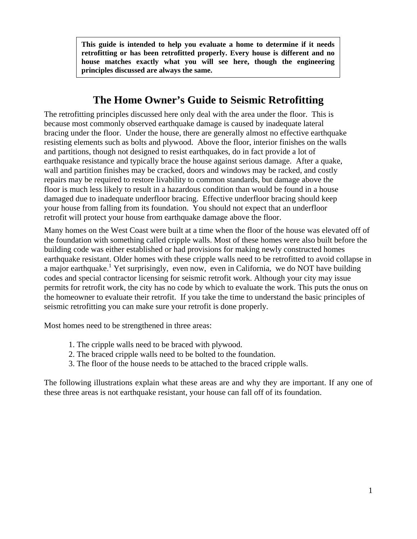**This guide is intended to help you evaluate a home to determine if it needs retrofitting or has been retrofitted properly. Every house is different and no house matches exactly what you will see here, though the engineering principles discussed are always the same.** 

# **The Home Owner's Guide to Seismic Retrofitting**

The retrofitting principles discussed here only deal with the area under the floor. This is because most commonly observed earthquake damage is caused by inadequate lateral bracing under the floor. Under the house, there are generally almost no effective earthquake resisting elements such as bolts and plywood. Above the floor, interior finishes on the walls and partitions, though not designed to resist earthquakes, do in fact provide a lot of earthquake resistance and typically brace the house against serious damage. After a quake, wall and partition finishes may be cracked, doors and windows may be racked, and costly repairs may be required to restore livability to common standards, but damage above the floor is much less likely to result in a hazardous condition than would be found in a house damaged due to inadequate underfloor bracing. Effective underfloor bracing should keep your house from falling from its foundation. You should not expect that an underfloor retrofit will protect your house from earthquake damage above the floor.

Many homes on the West Coast were built at a time when the floor of the house was elevated off of the foundation with something called cripple walls. Most of these homes were also built before the building code was either established or had provisions for making newly constructed homes earthquake resistant. Older homes with these cripple walls need to be retrofitted to avoid collapse in a major earthquake.<sup>1</sup> Yet surprisingly, even now, even in California, we do NOT have building codes and special contractor licensing for seismic retrofit work. Although your city may issue permits for retrofit work, the city has no code by which to evaluate the work. This puts the onus on the homeowner to evaluate their retrofit. If you take the time to understand the basic principles of seismic retrofitting you can make sure your retrofit is done properly.

Most homes need to be strengthened in three areas:

- 1. The cripple walls need to be braced with plywood.
- 2. The braced cripple walls need to be bolted to the foundation.
- 3. The floor of the house needs to be attached to the braced cripple walls.

The following illustrations explain what these areas are and why they are important. If any one of these three areas is not earthquake resistant, your house can fall off of its foundation.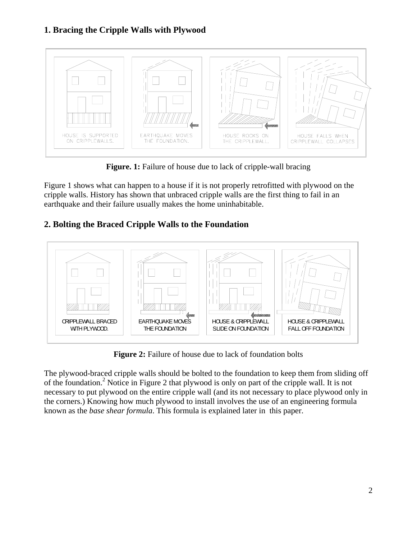# **1. Bracing the Cripple Walls with Plywood**



Figure. 1: Failure of house due to lack of cripple-wall bracing

Figure 1 shows what can happen to a house if it is not properly retrofitted with plywood on the cripple walls. History has shown that unbraced cripple walls are the first thing to fail in an earthquake and their failure usually makes the home uninhabitable.

# **2. Bolting the Braced Cripple Walls to the Foundation**



**Figure 2:** Failure of house due to lack of foundation bolts

The plywood-braced cripple walls should be bolted to the foundation to keep them from sliding off of the foundation.<sup>2</sup> Notice in Figure 2 that plywood is only on part of the cripple wall. It is not necessary to put plywood on the entire cripple wall (and its not necessary to place plywood only in the corners.) Knowing how much plywood to install involves the use of an engineering formula known as the *base shear formula*. This formula is explained later in this paper.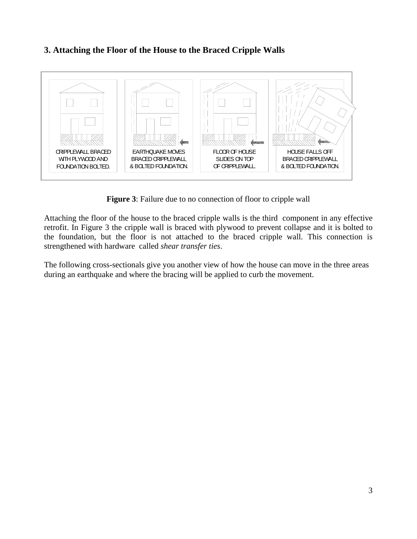### **3. Attaching the Floor of the House to the Braced Cripple Walls**



**Figure 3**: Failure due to no connection of floor to cripple wall

Attaching the floor of the house to the braced cripple walls is the third component in any effective retrofit. In Figure 3 the cripple wall is braced with plywood to prevent collapse and it is bolted to the foundation, but the floor is not attached to the braced cripple wall. This connection is strengthened with hardware called *shear transfer ties*.

The following cross-sectionals give you another view of how the house can move in the three areas during an earthquake and where the bracing will be applied to curb the movement.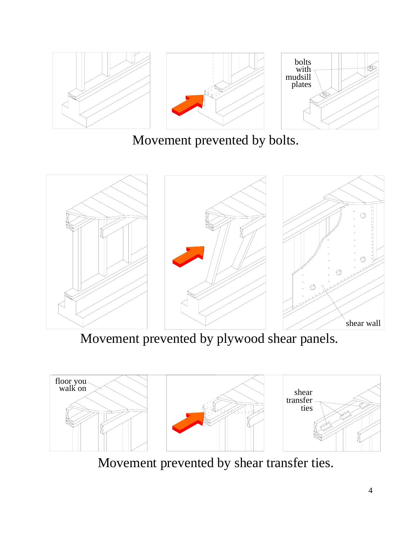

Movement prevented by bolts.



Movement prevented by plywood shear panels.



Movement prevented by shear transfer ties.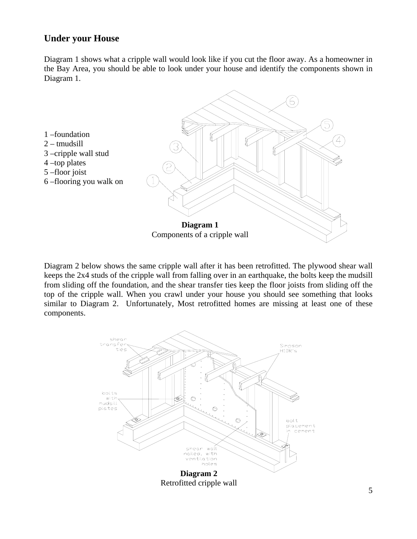### **Under your House**

Diagram 1 shows what a cripple wall would look like if you cut the floor away. As a homeowner in the Bay Area, you should be able to look under your house and identify the components shown in Diagram 1.



Diagram 2 below shows the same cripple wall after it has been retrofitted. The plywood shear wall keeps the 2x4 studs of the cripple wall from falling over in an earthquake, the bolts keep the mudsill from sliding off the foundation, and the shear transfer ties keep the floor joists from sliding off the top of the cripple wall. When you crawl under your house you should see something that looks similar to Diagram 2. Unfortunately, Most retrofitted homes are missing at least one of these components.

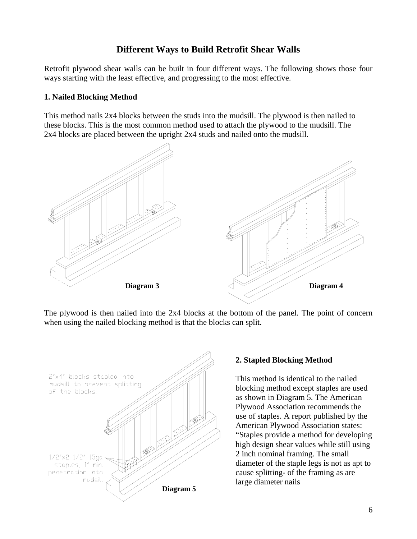# **Different Ways to Build Retrofit Shear Walls**

Retrofit plywood shear walls can be built in four different ways. The following shows those four ways starting with the least effective, and progressing to the most effective.

#### **1. Nailed Blocking Method**

This method nails 2x4 blocks between the studs into the mudsill. The plywood is then nailed to these blocks. This is the most common method used to attach the plywood to the mudsill. The 2x4 blocks are placed between the upright 2x4 studs and nailed onto the mudsill.



The plywood is then nailed into the 2x4 blocks at the bottom of the panel. The point of concern when using the nailed blocking method is that the blocks can split.



### **2. Stapled Blocking Method**

This method is identical to the nailed blocking method except staples are used as shown in Diagram 5. The American Plywood Association recommends the use of staples. A report published by the American Plywood Association states: "Staples provide a method for developing high design shear values while still using 2 inch nominal framing. The small diameter of the staple legs is not as apt to cause splitting- of the framing as are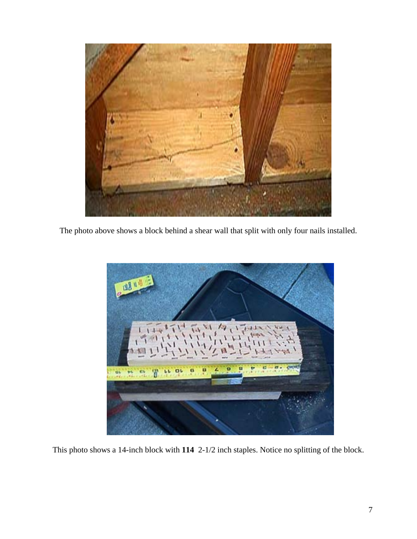

The photo above shows a block behind a shear wall that split with only four nails installed.



This photo shows a 14-inch block with **114** 2-1/2 inch staples. Notice no splitting of the block.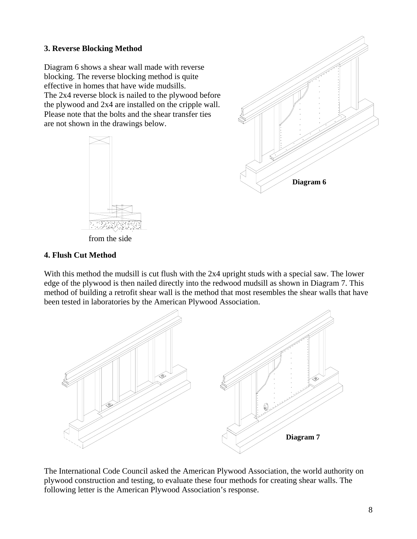### **3. Reverse Blocking Method**

Diagram 6 shows a shear wall made with reverse blocking. The reverse blocking method is quite effective in homes that have wide mudsills. The 2x4 reverse block is nailed to the plywood before the plywood and 2x4 are installed on the cripple wall. Please note that the bolts and the shear transfer ties are not shown in the drawings below.





from the side

#### **4. Flush Cut Method**

With this method the mudsill is cut flush with the 2x4 upright studs with a special saw. The lower edge of the plywood is then nailed directly into the redwood mudsill as shown in Diagram 7. This method of building a retrofit shear wall is the method that most resembles the shear walls that have been tested in laboratories by the American Plywood Association.



The International Code Council asked the American Plywood Association, the world authority on plywood construction and testing, to evaluate these four methods for creating shear walls. The following letter is the American Plywood Association's response.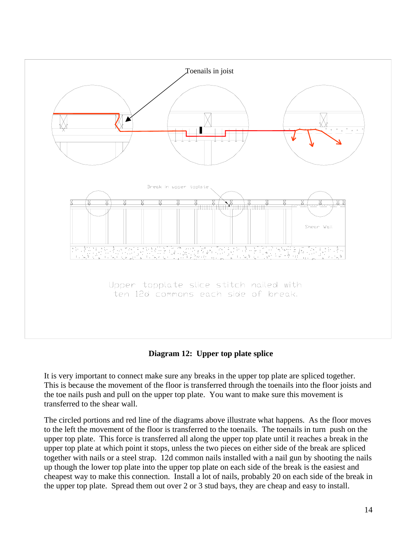

**Diagram 12: Upper top plate splice**

It is very important to connect make sure any breaks in the upper top plate are spliced together. This is because the movement of the floor is transferred through the toenails into the floor joists and the toe nails push and pull on the upper top plate. You want to make sure this movement is transferred to the shear wall.

The circled portions and red line of the diagrams above illustrate what happens. As the floor moves to the left the movement of the floor is transferred to the toenails. The toenails in turn push on the upper top plate. This force is transferred all along the upper top plate until it reaches a break in the upper top plate at which point it stops, unless the two pieces on either side of the break are spliced together with nails or a steel strap. 12d common nails installed with a nail gun by shooting the nails up though the lower top plate into the upper top plate on each side of the break is the easiest and cheapest way to make this connection. Install a lot of nails, probably 20 on each side of the break in the upper top plate. Spread them out over 2 or 3 stud bays, they are cheap and easy to install.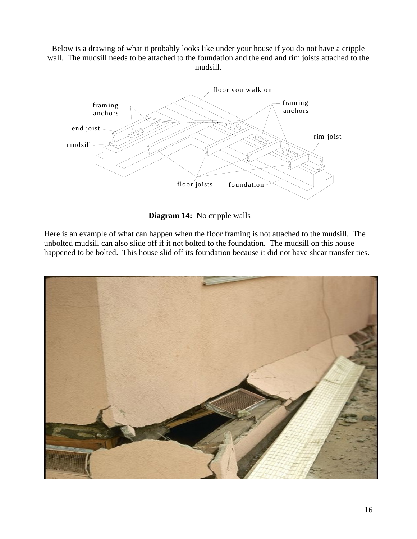Below is a drawing of what it probably looks like under your house if you do not have a cripple wall. The mudsill needs to be attached to the foundation and the end and rim joists attached to the mudsill.



**Diagram 14:** No cripple walls

Here is an example of what can happen when the floor framing is not attached to the mudsill. The unbolted mudsill can also slide off if it not bolted to the foundation. The mudsill on this house happened to be bolted. This house slid off its foundation because it did not have shear transfer ties.

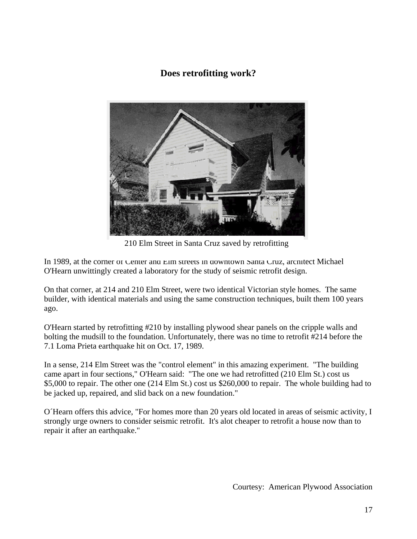# **Does retrofitting work?**



210 Elm Street in Santa Cruz saved by retrofitting

In 1989, at the corner of Center and Elm streets in downtown Santa Cruz, architect Michael O'Hearn unwittingly created a laboratory for the study of seismic retrofit design.

On that corner, at 214 and 210 Elm Street, were two identical Victorian style homes. The same builder, with identical materials and using the same construction techniques, built them 100 years ago.

O'Hearn started by retrofitting #210 by installing plywood shear panels on the cripple walls and bolting the mudsill to the foundation. Unfortunately, there was no time to retrofit #214 before the 7.1 Loma Prieta earthquake hit on Oct. 17, 1989.

In a sense, 214 Elm Street was the "control element" in this amazing experiment. "The building came apart in four sections," O'Hearn said: "The one we had retrofitted (210 Elm St.) cost us \$5,000 to repair. The other one (214 Elm St.) cost us \$260,000 to repair. The whole building had to be jacked up, repaired, and slid back on a new foundation."

O´Hearn offers this advice, "For homes more than 20 years old located in areas of seismic activity, I strongly urge owners to consider seismic retrofit. It's alot cheaper to retrofit a house now than to repair it after an earthquake."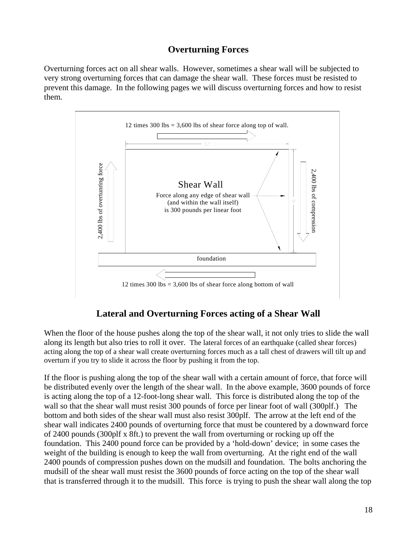# **Overturning Forces**

Overturning forces act on all shear walls. However, sometimes a shear wall will be subjected to very strong overturning forces that can damage the shear wall. These forces must be resisted to prevent this damage. In the following pages we will discuss overturning forces and how to resist them.



# **Lateral and Overturning Forces acting of a Shear Wall**

When the floor of the house pushes along the top of the shear wall, it not only tries to slide the wall along its length but also tries to roll it over. The lateral forces of an earthquake (called shear forces) acting along the top of a shear wall create overturning forces much as a tall chest of drawers will tilt up and overturn if you try to slide it across the floor by pushing it from the top.

If the floor is pushing along the top of the shear wall with a certain amount of force, that force will be distributed evenly over the length of the shear wall. In the above example, 3600 pounds of force is acting along the top of a 12-foot-long shear wall. This force is distributed along the top of the wall so that the shear wall must resist 300 pounds of force per linear foot of wall (300plf.) The bottom and both sides of the shear wall must also resist 300plf. The arrow at the left end of the shear wall indicates 2400 pounds of overturning force that must be countered by a downward force of 2400 pounds (300plf x 8ft.) to prevent the wall from overturning or rocking up off the foundation. This 2400 pound force can be provided by a 'hold-down' device; in some cases the weight of the building is enough to keep the wall from overturning. At the right end of the wall 2400 pounds of compression pushes down on the mudsill and foundation. The bolts anchoring the mudsill of the shear wall must resist the 3600 pounds of force acting on the top of the shear wall that is transferred through it to the mudsill. This force is trying to push the shear wall along the top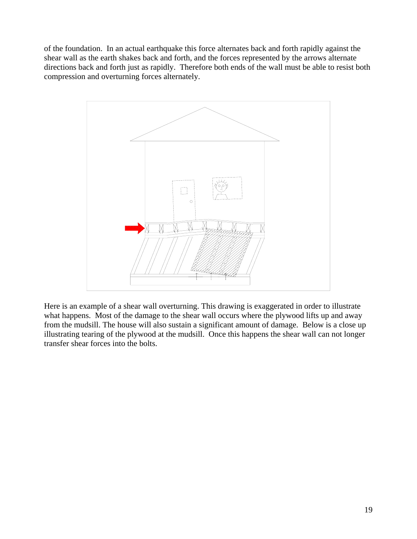of the foundation. In an actual earthquake this force alternates back and forth rapidly against the shear wall as the earth shakes back and forth, and the forces represented by the arrows alternate directions back and forth just as rapidly. Therefore both ends of the wall must be able to resist both compression and overturning forces alternately.



Here is an example of a shear wall overturning. This drawing is exaggerated in order to illustrate what happens. Most of the damage to the shear wall occurs where the plywood lifts up and away from the mudsill. The house will also sustain a significant amount of damage. Below is a close up illustrating tearing of the plywood at the mudsill. Once this happens the shear wall can not longer transfer shear forces into the bolts.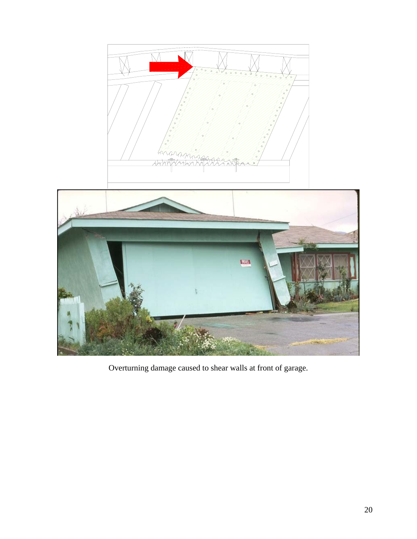



Overturning damage caused to shear walls at front of garage.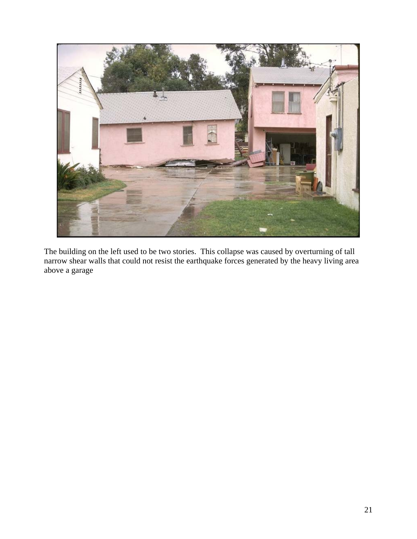

The building on the left used to be two stories. This collapse was caused by overturning of tall narrow shear walls that could not resist the earthquake forces generated by the heavy living area above a garage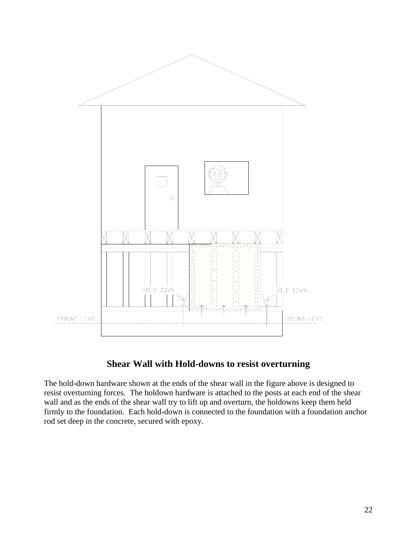

# **Shear Wall with Hold-downs to resist overturning**

The hold-down hardware shown at the ends of the shear wall in the figure above is designed to resist overturning forces. The holdown hardware is attached to the posts at each end of the shear wall and as the ends of the shear wall try to lift up and overturn, the holdowns keep them held firmly to the foundation. Each hold-down is connected to the foundation with a foundation anchor rod set deep in the concrete, secured with epoxy.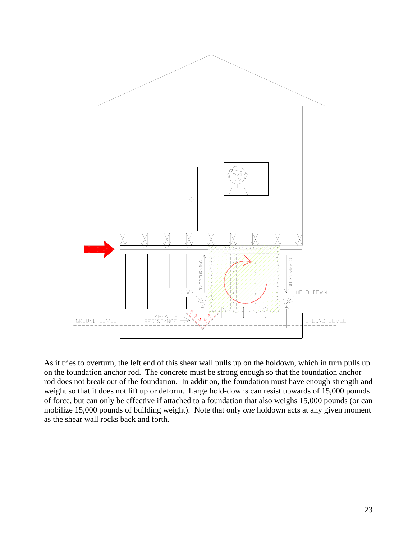

As it tries to overturn, the left end of this shear wall pulls up on the holdown, which in turn pulls up on the foundation anchor rod. The concrete must be strong enough so that the foundation anchor rod does not break out of the foundation. In addition, the foundation must have enough strength and weight so that it does not lift up or deform. Large hold-downs can resist upwards of 15,000 pounds of force, but can only be effective if attached to a foundation that also weighs 15,000 pounds (or can mobilize 15,000 pounds of building weight). Note that only *one* holdown acts at any given moment as the shear wall rocks back and forth.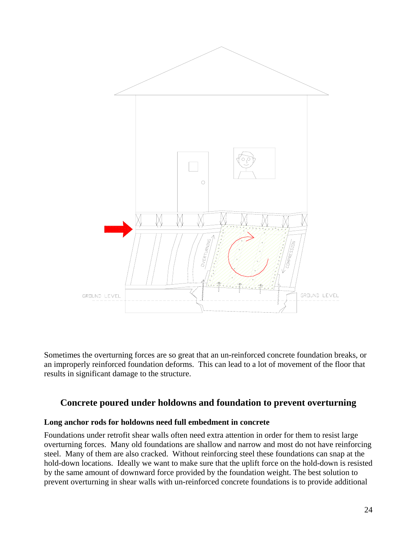

Sometimes the overturning forces are so great that an un-reinforced concrete foundation breaks, or an improperly reinforced foundation deforms. This can lead to a lot of movement of the floor that results in significant damage to the structure.

### **Concrete poured under holdowns and foundation to prevent overturning**

#### **Long anchor rods for holdowns need full embedment in concrete**

Foundations under retrofit shear walls often need extra attention in order for them to resist large overturning forces. Many old foundations are shallow and narrow and most do not have reinforcing steel. Many of them are also cracked. Without reinforcing steel these foundations can snap at the hold-down locations. Ideally we want to make sure that the uplift force on the hold-down is resisted by the same amount of downward force provided by the foundation weight. The best solution to prevent overturning in shear walls with un-reinforced concrete foundations is to provide additional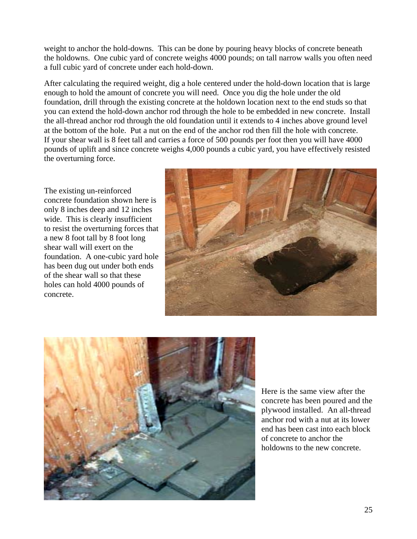weight to anchor the hold-downs. This can be done by pouring heavy blocks of concrete beneath the holdowns. One cubic yard of concrete weighs 4000 pounds; on tall narrow walls you often need a full cubic yard of concrete under each hold-down.

After calculating the required weight, dig a hole centered under the hold-down location that is large enough to hold the amount of concrete you will need. Once you dig the hole under the old foundation, drill through the existing concrete at the holdown location next to the end studs so that you can extend the hold-down anchor rod through the hole to be embedded in new concrete. Install the all-thread anchor rod through the old foundation until it extends to 4 inches above ground level at the bottom of the hole. Put a nut on the end of the anchor rod then fill the hole with concrete. If your shear wall is 8 feet tall and carries a force of 500 pounds per foot then you will have 4000 pounds of uplift and since concrete weighs 4,000 pounds a cubic yard, you have effectively resisted the overturning force.

The existing un-reinforced concrete foundation shown here is only 8 inches deep and 12 inches wide. This is clearly insufficient to resist the overturning forces that a new 8 foot tall by 8 foot long shear wall will exert on the foundation. A one-cubic yard hole has been dug out under both ends of the shear wall so that these holes can hold 4000 pounds of concrete.





Here is the same view after the concrete has been poured and the plywood installed. An all-thread anchor rod with a nut at its lower end has been cast into each block of concrete to anchor the holdowns to the new concrete.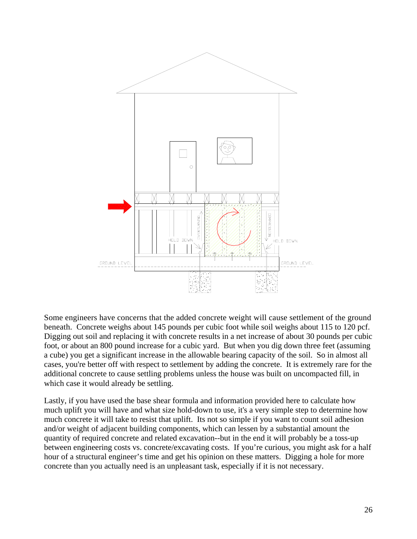

Some engineers have concerns that the added concrete weight will cause settlement of the ground beneath. Concrete weighs about 145 pounds per cubic foot while soil weighs about 115 to 120 pcf. Digging out soil and replacing it with concrete results in a net increase of about 30 pounds per cubic foot, or about an 800 pound increase for a cubic yard. But when you dig down three feet (assuming a cube) you get a significant increase in the allowable bearing capacity of the soil. So in almost all cases, you're better off with respect to settlement by adding the concrete. It is extremely rare for the additional concrete to cause settling problems unless the house was built on uncompacted fill, in which case it would already be settling.

Lastly, if you have used the base shear formula and information provided here to calculate how much uplift you will have and what size hold-down to use, it's a very simple step to determine how much concrete it will take to resist that uplift. Its not so simple if you want to count soil adhesion and/or weight of adjacent building components, which can lessen by a substantial amount the quantity of required concrete and related excavation--but in the end it will probably be a toss-up between engineering costs vs. concrete/excavating costs. If you're curious, you might ask for a half hour of a structural engineer's time and get his opinion on these matters. Digging a hole for more concrete than you actually need is an unpleasant task, especially if it is not necessary.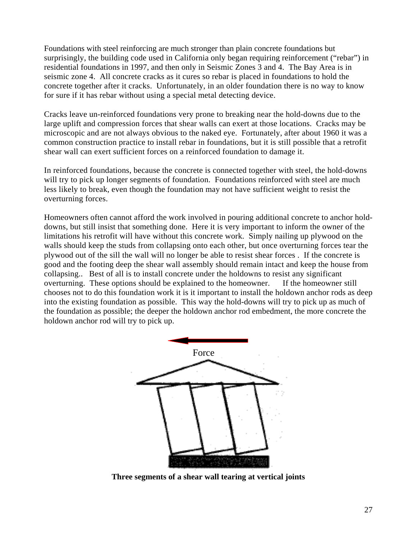Foundations with steel reinforcing are much stronger than plain concrete foundations but surprisingly, the building code used in California only began requiring reinforcement ("rebar") in residential foundations in 1997, and then only in Seismic Zones 3 and 4. The Bay Area is in seismic zone 4. All concrete cracks as it cures so rebar is placed in foundations to hold the concrete together after it cracks. Unfortunately, in an older foundation there is no way to know for sure if it has rebar without using a special metal detecting device.

Cracks leave un-reinforced foundations very prone to breaking near the hold-downs due to the large uplift and compression forces that shear walls can exert at those locations. Cracks may be microscopic and are not always obvious to the naked eye. Fortunately, after about 1960 it was a common construction practice to install rebar in foundations, but it is still possible that a retrofit shear wall can exert sufficient forces on a reinforced foundation to damage it.

In reinforced foundations, because the concrete is connected together with steel, the hold-downs will try to pick up longer segments of foundation. Foundations reinforced with steel are much less likely to break, even though the foundation may not have sufficient weight to resist the overturning forces.

Homeowners often cannot afford the work involved in pouring additional concrete to anchor holddowns, but still insist that something done. Here it is very important to inform the owner of the limitations his retrofit will have without this concrete work. Simply nailing up plywood on the walls should keep the studs from collapsing onto each other, but once overturning forces tear the plywood out of the sill the wall will no longer be able to resist shear forces . If the concrete is good and the footing deep the shear wall assembly should remain intact and keep the house from collapsing.. Best of all is to install concrete under the holdowns to resist any significant overturning. These options should be explained to the homeowner. If the homeowner still chooses not to do this foundation work it is it important to install the holdown anchor rods as deep into the existing foundation as possible. This way the hold-downs will try to pick up as much of the foundation as possible; the deeper the holdown anchor rod embedment, the more concrete the holdown anchor rod will try to pick up.



**Three segments of a shear wall tearing at vertical joints**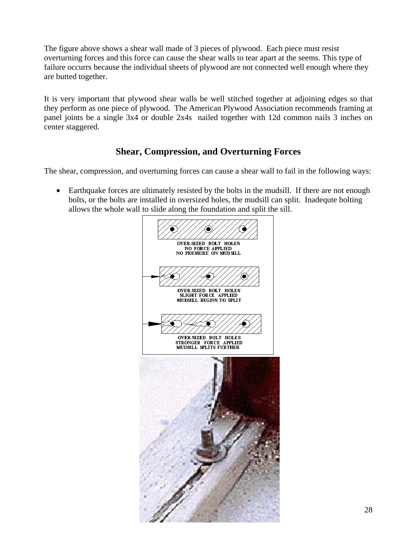The figure above shows a shear wall made of 3 pieces of plywood. Each piece must resist overturning forces and this force can cause the shear walls to tear apart at the seems. This type of failure occurrs because the individual sheets of plywood are not connected well enough where they are butted together.

It is very important that plywood shear walls be well stitched together at adjoining edges so that they perform as one piece of plywood. The American Plywood Association recommends framing at panel joints be a single 3x4 or double 2x4s nailed together with 12d common nails 3 inches on center staggered.

# **Shear, Compression, and Overturning Forces**

The shear, compression, and overturning forces can cause a shear wall to fail in the following ways:

• Earthquake forces are ultimately resisted by the bolts in the mudsill. If there are not enough bolts, or the bolts are installed in oversized holes, the mudsill can split. Inadequte bolting allows the whole wall to slide along the foundation and split the sill.